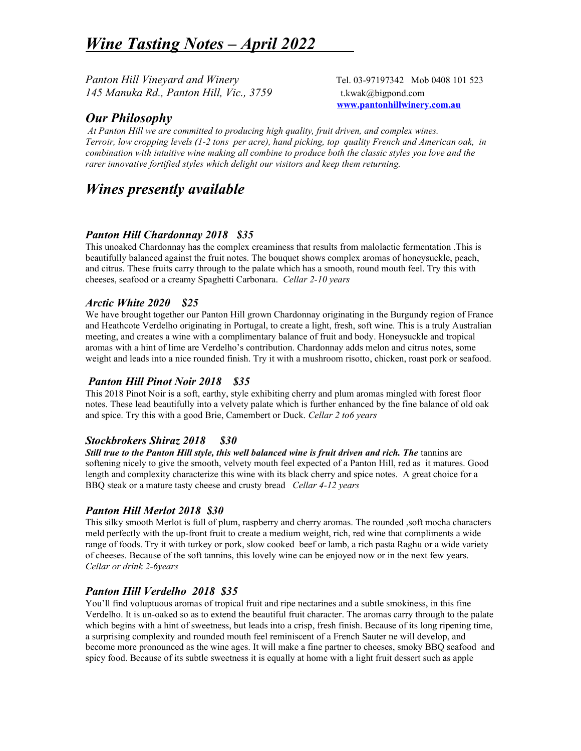# Wine Tasting Notes – April 2022

Panton Hill Vineyard and Winery Tel. 03-97197342 Mob 0408 101 523 145 Manuka Rd., Panton Hill, Vic., 3759 t.kwak@bigpond.com

www.pantonhillwinery.com.au

# Our Philosophy

 At Panton Hill we are committed to producing high quality, fruit driven, and complex wines. Terroir, low cropping levels (1-2 tons per acre), hand picking, top quality French and American oak, in combination with intuitive wine making all combine to produce both the classic styles you love and the rarer innovative fortified styles which delight our visitors and keep them returning.

# Wines presently available

#### Panton Hill Chardonnay 2018 \$35

This unoaked Chardonnay has the complex creaminess that results from malolactic fermentation .This is beautifully balanced against the fruit notes. The bouquet shows complex aromas of honeysuckle, peach, and citrus. These fruits carry through to the palate which has a smooth, round mouth feel. Try this with cheeses, seafood or a creamy Spaghetti Carbonara. Cellar 2-10 years

# Arctic White 2020 \$25

We have brought together our Panton Hill grown Chardonnay originating in the Burgundy region of France and Heathcote Verdelho originating in Portugal, to create a light, fresh, soft wine. This is a truly Australian meeting, and creates a wine with a complimentary balance of fruit and body. Honeysuckle and tropical aromas with a hint of lime are Verdelho's contribution. Chardonnay adds melon and citrus notes, some weight and leads into a nice rounded finish. Try it with a mushroom risotto, chicken, roast pork or seafood.

# Panton Hill Pinot Noir 2018 \$35

This 2018 Pinot Noir is a soft, earthy, style exhibiting cherry and plum aromas mingled with forest floor notes. These lead beautifully into a velvety palate which is further enhanced by the fine balance of old oak and spice. Try this with a good Brie, Camembert or Duck. Cellar 2 to6 years

# Stockbrokers Shiraz 2018 \$30

Still true to the Panton Hill style, this well balanced wine is fruit driven and rich. The tannins are softening nicely to give the smooth, velvety mouth feel expected of a Panton Hill, red as it matures. Good length and complexity characterize this wine with its black cherry and spice notes. A great choice for a BBQ steak or a mature tasty cheese and crusty bread *Cellar 4-12 years* 

# Panton Hill Merlot 2018 \$30

This silky smooth Merlot is full of plum, raspberry and cherry aromas. The rounded ,soft mocha characters meld perfectly with the up-front fruit to create a medium weight, rich, red wine that compliments a wide range of foods. Try it with turkey or pork, slow cooked beef or lamb, a rich pasta Raghu or a wide variety of cheeses. Because of the soft tannins, this lovely wine can be enjoyed now or in the next few years. Cellar or drink 2-6years

# Panton Hill Verdelho 2018 \$35

You'll find voluptuous aromas of tropical fruit and ripe nectarines and a subtle smokiness, in this fine Verdelho. It is un-oaked so as to extend the beautiful fruit character. The aromas carry through to the palate which begins with a hint of sweetness, but leads into a crisp, fresh finish. Because of its long ripening time, a surprising complexity and rounded mouth feel reminiscent of a French Sauter ne will develop, and become more pronounced as the wine ages. It will make a fine partner to cheeses, smoky BBQ seafood and spicy food. Because of its subtle sweetness it is equally at home with a light fruit dessert such as apple